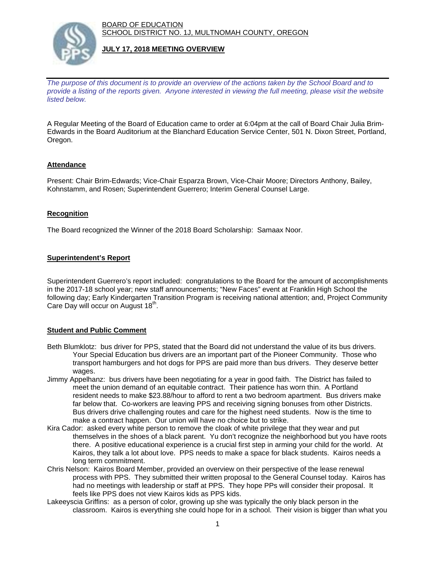BOARD OF EDUCATION SCHOOL DISTRICT NO. 1J, MULTNOMAH COUNTY, OREGON



# **JULY 17, 2018 MEETING OVERVIEW**

*The purpose of this document is to provide an overview of the actions taken by the School Board and to provide a listing of the reports given. Anyone interested in viewing the full meeting, please visit the website listed below.*

A Regular Meeting of the Board of Education came to order at 6:04pm at the call of Board Chair Julia Brim-Edwards in the Board Auditorium at the Blanchard Education Service Center, 501 N. Dixon Street, Portland, Oregon.

# **Attendance**

Present: Chair Brim-Edwards; Vice-Chair Esparza Brown, Vice-Chair Moore; Directors Anthony, Bailey, Kohnstamm, and Rosen; Superintendent Guerrero; Interim General Counsel Large.

## **Recognition**

The Board recognized the Winner of the 2018 Board Scholarship: Samaax Noor.

# **Superintendent's Report**

Superintendent Guerrero's report included: congratulations to the Board for the amount of accomplishments in the 2017-18 school year; new staff announcements; "New Faces" event at Franklin High School the following day; Early Kindergarten Transition Program is receiving national attention; and, Project Community Care Day will occur on August 18<sup>th</sup>.

#### **Student and Public Comment**

- Beth Blumklotz: bus driver for PPS, stated that the Board did not understand the value of its bus drivers. Your Special Education bus drivers are an important part of the Pioneer Community. Those who transport hamburgers and hot dogs for PPS are paid more than bus drivers. They deserve better wages.
- Jimmy Appelhanz: bus drivers have been negotiating for a year in good faith. The District has failed to meet the union demand of an equitable contract. Their patience has worn thin. A Portland resident needs to make \$23.88/hour to afford to rent a two bedroom apartment. Bus drivers make far below that. Co-workers are leaving PPS and receiving signing bonuses from other Districts. Bus drivers drive challenging routes and care for the highest need students. Now is the time to make a contract happen. Our union will have no choice but to strike.
- Kira Cador: asked every white person to remove the cloak of white privilege that they wear and put themselves in the shoes of a black parent. Yu don't recognize the neighborhood but you have roots there. A positive educational experience is a crucial first step in arming your child for the world. At Kairos, they talk a lot about love. PPS needs to make a space for black students. Kairos needs a long term commitment.
- Chris Nelson: Kairos Board Member, provided an overview on their perspective of the lease renewal process with PPS. They submitted their written proposal to the General Counsel today. Kairos has had no meetings with leadership or staff at PPS. They hope PPs will consider their proposal. It feels like PPS does not view Kairos kids as PPS kids.
- Lakeeyscia Griffins: as a person of color, growing up she was typically the only black person in the classroom. Kairos is everything she could hope for in a school. Their vision is bigger than what you